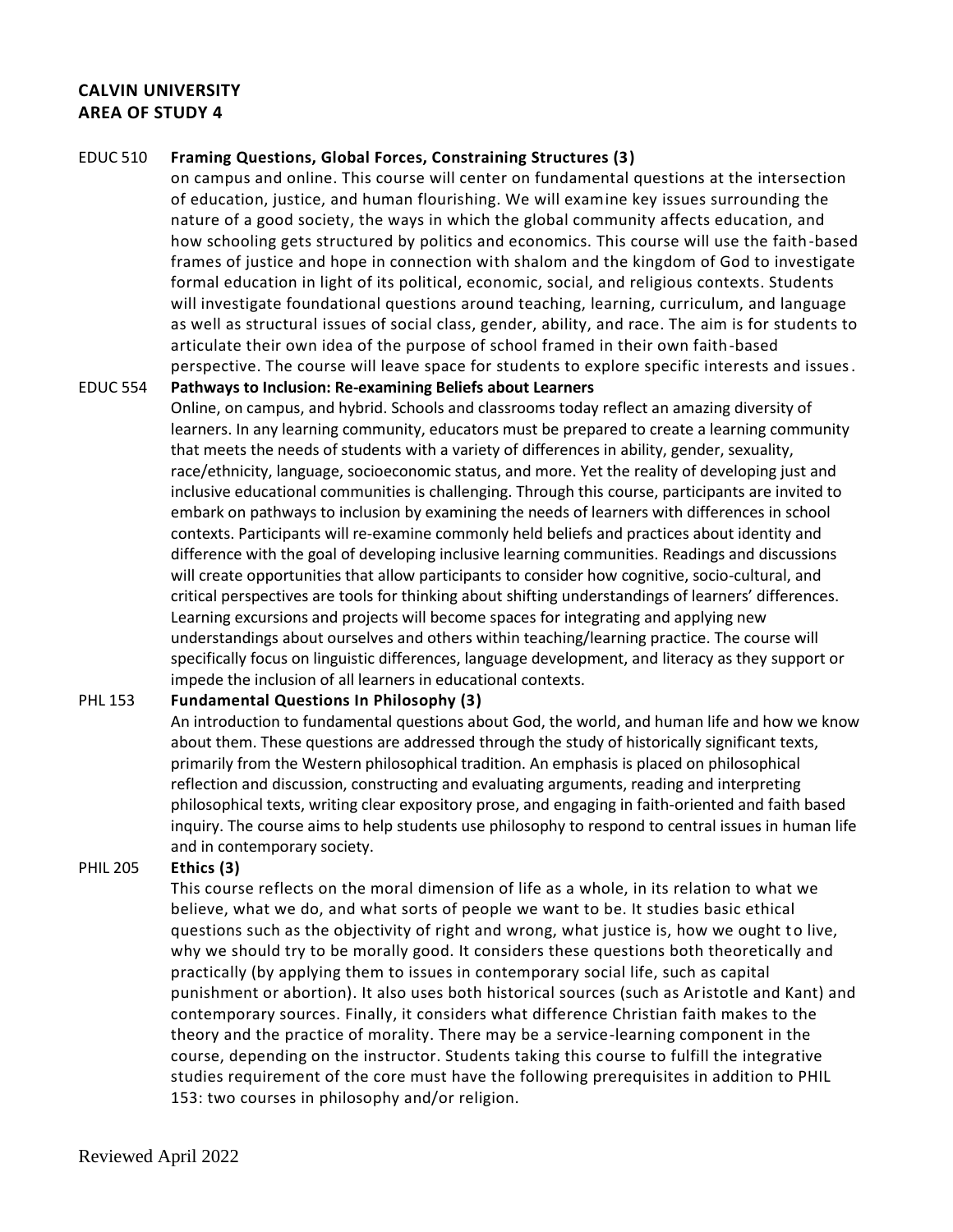# **CALVIN UNIVERSITY AREA OF STUDY 4**

## EDUC 510 **Framing Questions, Global Forces, Constraining Structures (3)**

on campus and online. This course will center on fundamental questions at the intersection of education, justice, and human flourishing. We will examine key issues surrounding the nature of a good society, the ways in which the global community affects education, and how schooling gets structured by politics and economics. This course will use the faith-based frames of justice and hope in connection with shalom and the kingdom of God to investigate formal education in light of its political, economic, social, and religious contexts. Students will investigate foundational questions around teaching, learning, curriculum, and language as well as structural issues of social class, gender, ability, and race. The aim is for students to articulate their own idea of the purpose of school framed in their own faith-based perspective. The course will leave space for students to explore specific interests and issues.

## EDUC 554 **Pathways to Inclusion: Re-examining Beliefs about Learners**

Online, on campus, and hybrid. Schools and classrooms today reflect an amazing diversity of learners. In any learning community, educators must be prepared to create a learning community that meets the needs of students with a variety of differences in ability, gender, sexuality, race/ethnicity, language, socioeconomic status, and more. Yet the reality of developing just and inclusive educational communities is challenging. Through this course, participants are invited to embark on pathways to inclusion by examining the needs of learners with differences in school contexts. Participants will re-examine commonly held beliefs and practices about identity and difference with the goal of developing inclusive learning communities. Readings and discussions will create opportunities that allow participants to consider how cognitive, socio-cultural, and critical perspectives are tools for thinking about shifting understandings of learners' differences. Learning excursions and projects will become spaces for integrating and applying new understandings about ourselves and others within teaching/learning practice. The course will specifically focus on linguistic differences, language development, and literacy as they support or impede the inclusion of all learners in educational contexts.

## PHL 153 **Fundamental Questions In Philosophy (3)**

An introduction to fundamental questions about God, the world, and human life and how we know about them. These questions are addressed through the study of historically significant texts, primarily from the Western philosophical tradition. An emphasis is placed on philosophical reflection and discussion, constructing and evaluating arguments, reading and interpreting philosophical texts, writing clear expository prose, and engaging in faith-oriented and faith based inquiry. The course aims to help students use philosophy to respond to central issues in human life and in contemporary society.

## PHIL 205 **Ethics (3)**

This course reflects on the moral dimension of life as a whole, in its relation to what we believe, what we do, and what sorts of people we want to be. It studies basic ethical questions such as the objectivity of right and wrong, what justice is, how we ought to live, why we should try to be morally good. It considers these questions both theoretically and practically (by applying them to issues in contemporary social life, such as capital punishment or abortion). It also uses both historical sources (such as Aristotle and Kant) and contemporary sources. Finally, it considers what difference Christian faith makes to the theory and the practice of morality. There may be a service-learning component in the course, depending on the instructor. Students taking this course to fulfill the integrative studies requirement of the core must have the following prerequisites in addition to PHIL 153: two courses in philosophy and/or religion.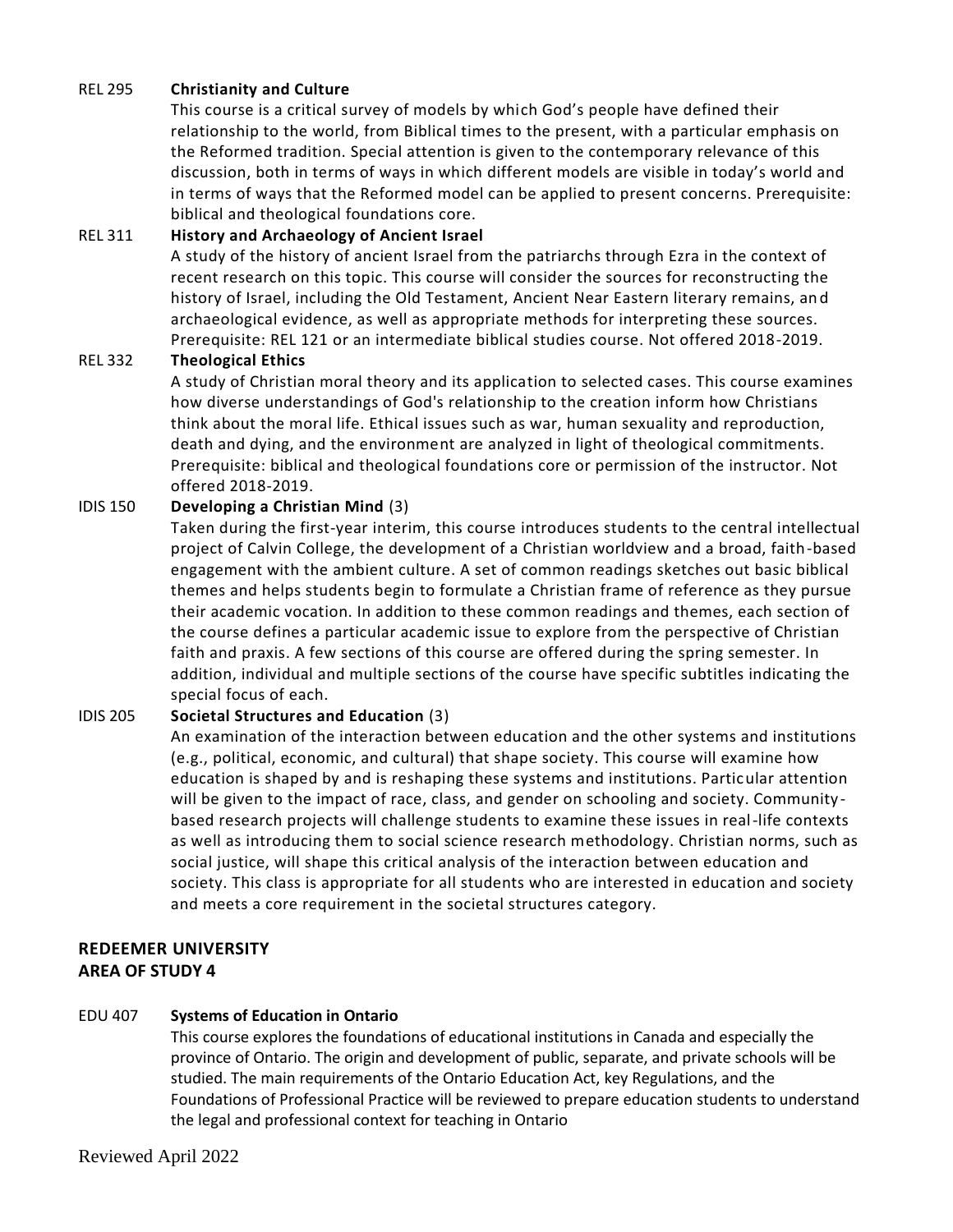## REL 295 **Christianity and Culture**

This course is a critical survey of models by which God's people have defined their relationship to the world, from Biblical times to the present, with a particular emphasis on the Reformed tradition. Special attention is given to the contemporary relevance of this discussion, both in terms of ways in which different models are visible in today's world and in terms of ways that the Reformed model can be applied to present concerns. Prerequisite: biblical and theological foundations core.

## REL 311 **History and Archaeology of Ancient Israel**

A study of the history of ancient Israel from the patriarchs through Ezra in the context of recent research on this topic. This course will consider the sources for reconstructing the history of Israel, including the Old Testament, Ancient Near Eastern literary remains, and archaeological evidence, as well as appropriate methods for interpreting these sources. Prerequisite: REL 121 or an intermediate biblical studies course. Not offered 2018-2019.

## REL 332 **Theological Ethics**

A study of Christian moral theory and its application to selected cases. This course examines how diverse understandings of God's relationship to the creation inform how Christians think about the moral life. Ethical issues such as war, human sexuality and reproduction, death and dying, and the environment are analyzed in light of theological commitments. Prerequisite: biblical and theological foundations core or permission of the instructor. Not offered 2018-2019.

## IDIS 150 **Developing a Christian Mind** (3)

Taken during the first-year interim, this course introduces students to the central intellectual project of Calvin College, the development of a Christian worldview and a broad, faith-based engagement with the ambient culture. A set of common readings sketches out basic biblical themes and helps students begin to formulate a Christian frame of reference as they pursue their academic vocation. In addition to these common readings and themes, each section of the course defines a particular academic issue to explore from the perspective of Christian faith and praxis. A few sections of this course are offered during the spring semester. In addition, individual and multiple sections of the course have specific subtitles indicating the special focus of each.

## IDIS 205 **Societal Structures and Education** (3)

An examination of the interaction between education and the other systems and institutions (e.g., political, economic, and cultural) that shape society. This course will examine how education is shaped by and is reshaping these systems and institutions. Particular attention will be given to the impact of race, class, and gender on schooling and society. Community based research projects will challenge students to examine these issues in real-life contexts as well as introducing them to social science research methodology. Christian norms, such as social justice, will shape this critical analysis of the interaction between education and society. This class is appropriate for all students who are interested in education and society and meets a core requirement in the societal structures category.

# **REDEEMER UNIVERSITY AREA OF STUDY 4**

## EDU 407 **Systems of Education in Ontario**

This course explores the foundations of educational institutions in Canada and especially the province of Ontario. The origin and development of public, separate, and private schools will be studied. The main requirements of the Ontario Education Act, key Regulations, and the Foundations of Professional Practice will be reviewed to prepare education students to understand the legal and professional context for teaching in Ontario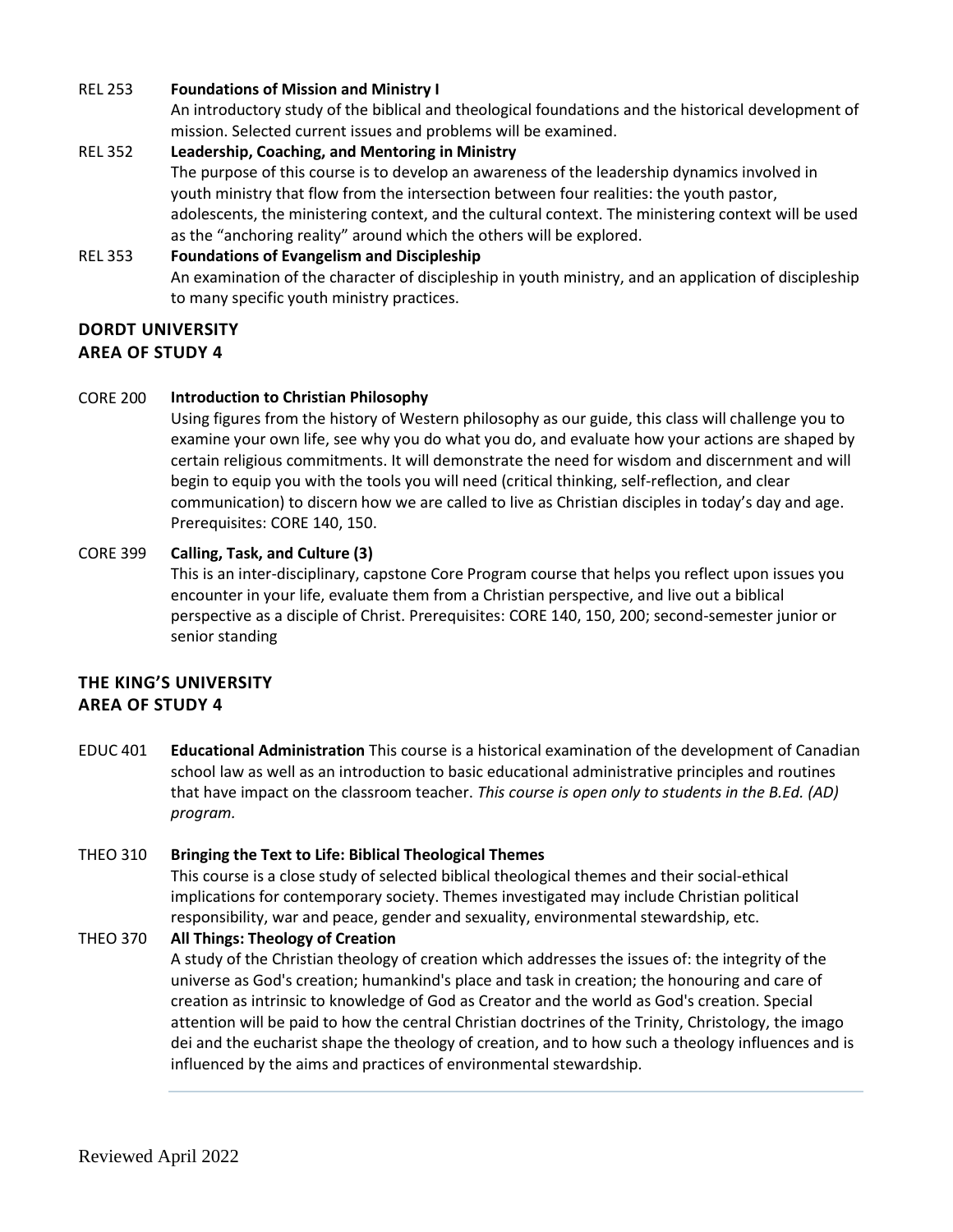## REL 253 **Foundations of Mission and Ministry I**

An introductory study of the biblical and theological foundations and the historical development of mission. Selected current issues and problems will be examined.

## REL 352 **Leadership, Coaching, and Mentoring in Ministry** The purpose of this course is to develop an awareness of the leadership dynamics involved in youth ministry that flow from the intersection between four realities: the youth pastor, adolescents, the ministering context, and the cultural context. The ministering context will be used

## as the "anchoring reality" around which the others will be explored. REL 353 **Foundations of Evangelism and Discipleship**  An examination of the character of discipleship in youth ministry, and an application of discipleship to many specific youth ministry practices.

# **DORDT UNIVERSITY AREA OF STUDY 4**

## CORE 200 **Introduction to Christian Philosophy**

Using figures from the history of Western philosophy as our guide, this class will challenge you to examine your own life, see why you do what you do, and evaluate how your actions are shaped by certain religious commitments. It will demonstrate the need for wisdom and discernment and will begin to equip you with the tools you will need (critical thinking, self-reflection, and clear communication) to discern how we are called to live as Christian disciples in today's day and age. Prerequisites: CORE 140, 150.

## CORE 399 **Calling, Task, and Culture (3)**

This is an inter-disciplinary, capstone Core Program course that helps you reflect upon issues you encounter in your life, evaluate them from a Christian perspective, and live out a biblical perspective as a disciple of Christ. Prerequisites: CORE 140, 150, 200; second-semester junior or senior standing

# **THE KING'S UNIVERSITY AREA OF STUDY 4**

EDUC 401 **Educational Administration** This course is a historical examination of the development of Canadian school law as well as an introduction to basic educational administrative principles and routines that have impact on the classroom teacher. *This course is open only to students in the B.Ed. (AD) program.*

## THEO 310 **Bringing the Text to Life: Biblical Theological Themes** This course is a close study of selected biblical theological themes and their social-ethical implications for contemporary society. Themes investigated may include Christian political responsibility, war and peace, gender and sexuality, environmental stewardship, etc.

## THEO 370 **All Things: Theology of Creation**

A study of the Christian theology of creation which addresses the issues of: the integrity of the universe as God's creation; humankind's place and task in creation; the honouring and care of creation as intrinsic to knowledge of God as Creator and the world as God's creation. Special attention will be paid to how the central Christian doctrines of the Trinity, Christology, the imago dei and the eucharist shape the theology of creation, and to how such a theology influences and is influenced by the aims and practices of environmental stewardship.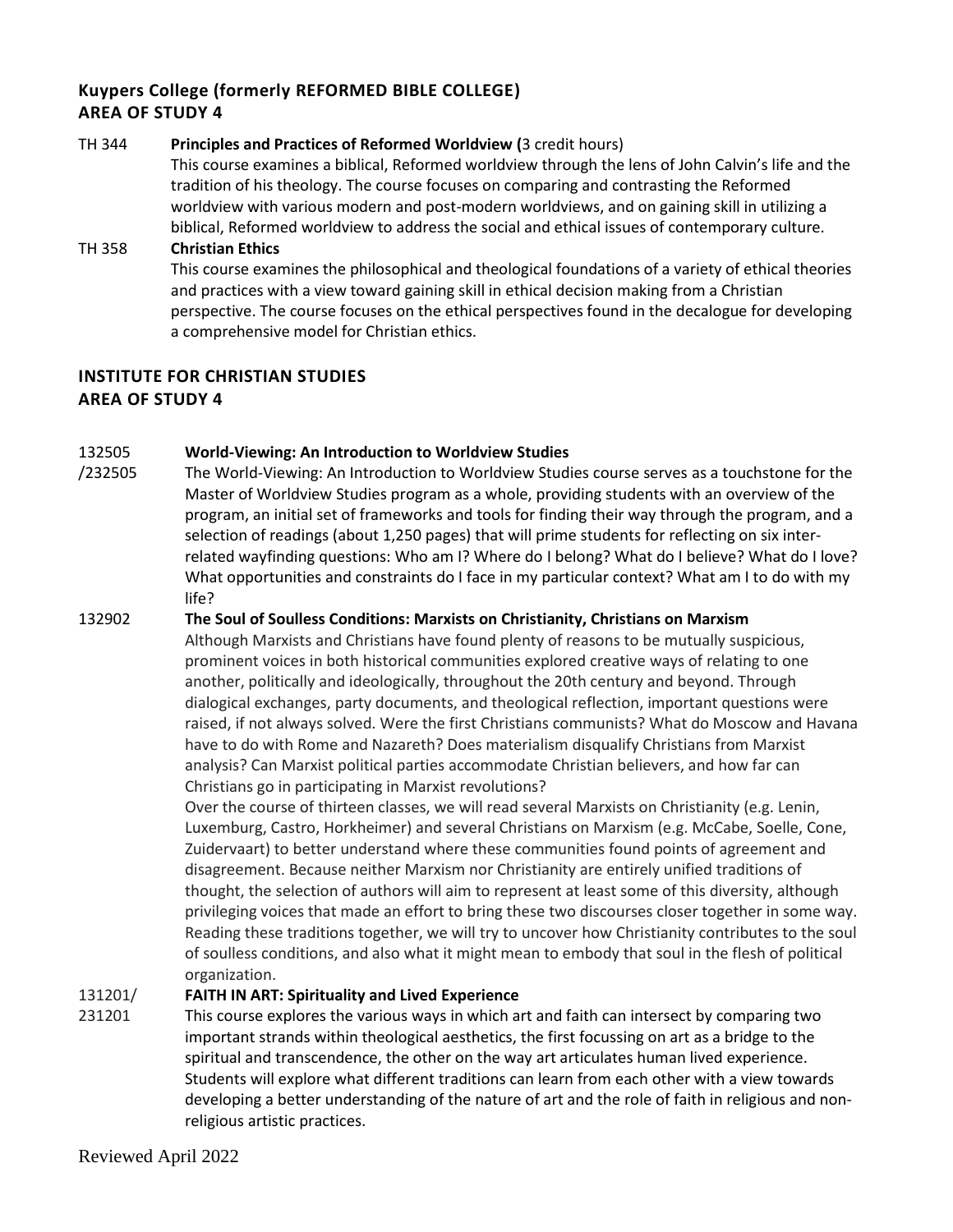# **Kuypers College (formerly REFORMED BIBLE COLLEGE) AREA OF STUDY 4**

## TH 344 **Principles and Practices of Reformed Worldview (**3 credit hours)

This course examines a biblical, Reformed worldview through the lens of John Calvin's life and the tradition of his theology. The course focuses on comparing and contrasting the Reformed worldview with various modern and post-modern worldviews, and on gaining skill in utilizing a biblical, Reformed worldview to address the social and ethical issues of contemporary culture.

# TH 358 **Christian Ethics**  This course examines the philosophical and theological foundations of a variety of ethical theories and practices with a view toward gaining skill in ethical decision making from a Christian perspective. The course focuses on the ethical perspectives found in the decalogue for developing a comprehensive model for Christian ethics.

# **INSTITUTE FOR CHRISTIAN STUDIES AREA OF STUDY 4**

#### 132505 **[World-Viewing: An Introduction to Worldview Studies](http://courses.icscanada.edu/2017/09/world-viewing-introduction-to-worldview.html)**

/232505 The World-Viewing: An Introduction to Worldview Studies course serves as a touchstone for the Master of Worldview Studies program as a whole, providing students with an overview of the program, an initial set of frameworks and tools for finding their way through the program, and a selection of readings (about 1,250 pages) that will prime students for reflecting on six interrelated wayfinding questions: Who am I? Where do I belong? What do I believe? What do I love? What opportunities and constraints do I face in my particular context? What am I to do with my life?

# 132902 **[The Soul of Soulless Conditions: Marxists on Christianity, Christians on Marxism](http://courses.icscanada.edu/2021/02/the-soul-of-soulless-conditions.html)** Although Marxists and Christians have found plenty of reasons to be mutually suspicious, prominent voices in both historical communities explored creative ways of relating to one another, politically and ideologically, throughout the 20th century and beyond. Through dialogical exchanges, party documents, and theological reflection, important questions were raised, if not always solved. Were the first Christians communists? What do Moscow and Havana have to do with Rome and Nazareth? Does materialism disqualify Christians from Marxist analysis? Can Marxist political parties accommodate Christian believers, and how far can Christians go in participating in Marxist revolutions?

Over the course of thirteen classes, we will read several Marxists on Christianity (e.g. Lenin, Luxemburg, Castro, Horkheimer) and several Christians on Marxism (e.g. McCabe, Soelle, Cone, Zuidervaart) to better understand where these communities found points of agreement and disagreement. Because neither Marxism nor Christianity are entirely unified traditions of thought, the selection of authors will aim to represent at least some of this diversity, although privileging voices that made an effort to bring these two discourses closer together in some way. Reading these traditions together, we will try to uncover how Christianity contributes to the soul of soulless conditions, and also what it might mean to embody that soul in the flesh of political organization.

#### 131201/ **FAITH IN ART: Spirituality and Lived Experience**

231201 This course explores the various ways in which art and faith can intersect by comparing two important strands within theological aesthetics, the first focussing on art as a bridge to the spiritual and transcendence, the other on the way art articulates human lived experience. Students will explore what different traditions can learn from each other with a view towards developing a better understanding of the nature of art and the role of faith in religious and nonreligious artistic practices.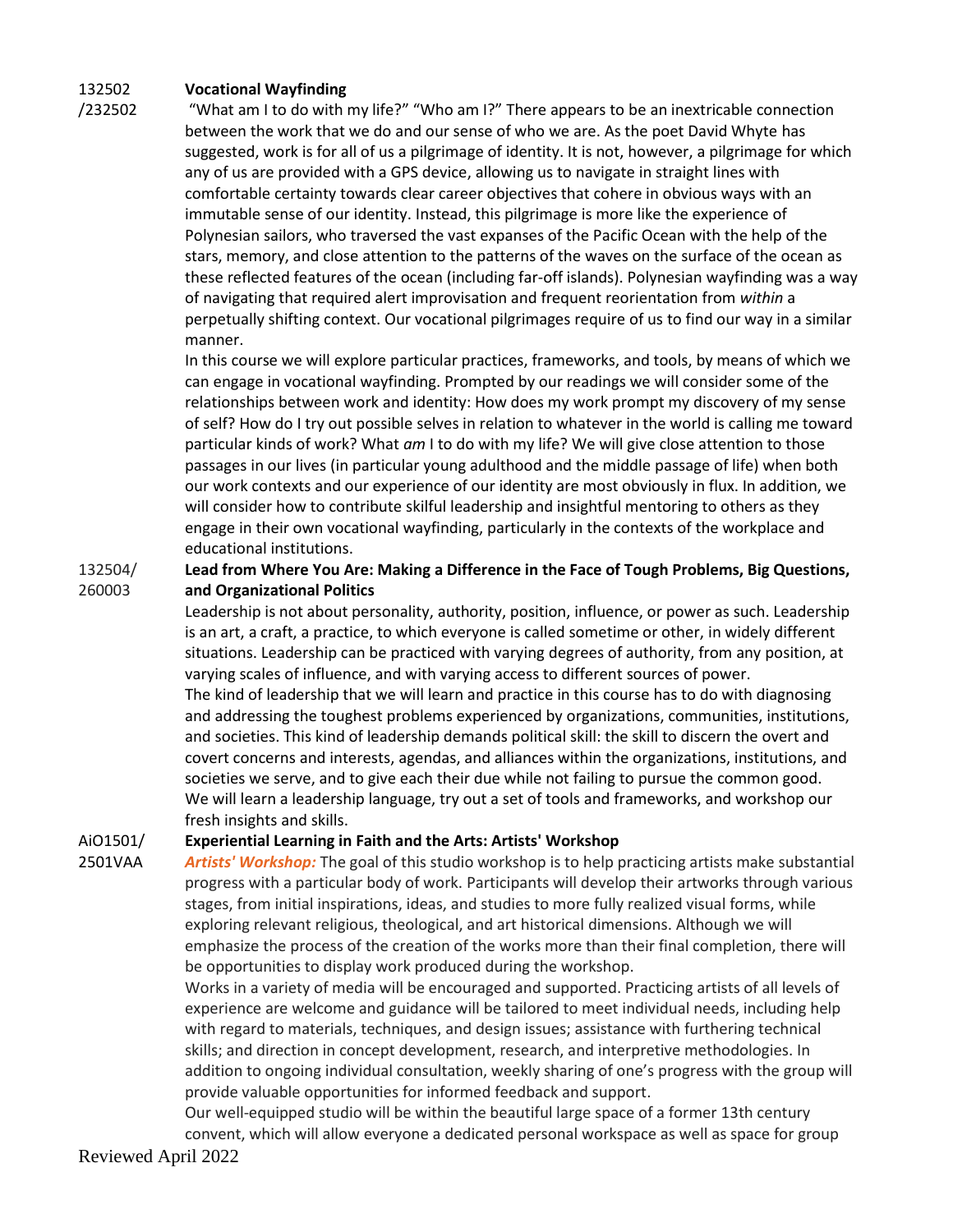#### 132502 **Vocational Wayfinding**

/232502

"What am I to do with my life?" "Who am I?" There appears to be an inextricable connection between the work that we do and our sense of who we are. As the poet David Whyte has suggested, work is for all of us a pilgrimage of identity. It is not, however, a pilgrimage for which any of us are provided with a GPS device, allowing us to navigate in straight lines with comfortable certainty towards clear career objectives that cohere in obvious ways with an immutable sense of our identity. Instead, this pilgrimage is more like the experience of Polynesian sailors, who traversed the vast expanses of the Pacific Ocean with the help of the stars, memory, and close attention to the patterns of the waves on the surface of the ocean as these reflected features of the ocean (including far-off islands). Polynesian wayfinding was a way of navigating that required alert improvisation and frequent reorientation from *within* a perpetually shifting context. Our vocational pilgrimages require of us to find our way in a similar manner.

In this course we will explore particular practices, frameworks, and tools, by means of which we can engage in vocational wayfinding. Prompted by our readings we will consider some of the relationships between work and identity: How does my work prompt my discovery of my sense of self? How do I try out possible selves in relation to whatever in the world is calling me toward particular kinds of work? What *am* I to do with my life? We will give close attention to those passages in our lives (in particular young adulthood and the middle passage of life) when both our work contexts and our experience of our identity are most obviously in flux. In addition, we will consider how to contribute skilful leadership and insightful mentoring to others as they engage in their own vocational wayfinding, particularly in the contexts of the workplace and educational institutions.

132504/ 260003 **Lead from Where You Are: Making a Difference in the Face of Tough Problems, Big Questions, and Organizational Politics**

> Leadership is not about personality, authority, position, influence, or power as such. Leadership is an art, a craft, a practice, to which everyone is called sometime or other, in widely different situations. Leadership can be practiced with varying degrees of authority, from any position, at varying scales of influence, and with varying access to different sources of power. The kind of leadership that we will learn and practice in this course has to do with diagnosing and addressing the toughest problems experienced by organizations, communities, institutions, and societies. This kind of leadership demands political skill: the skill to discern the overt and covert concerns and interests, agendas, and alliances within the organizations, institutions, and societies we serve, and to give each their due while not failing to pursue the common good. We will learn a leadership language, try out a set of tools and frameworks, and workshop our fresh insights and skills.

#### AiO1501/ **Experiential Learning in Faith and the Arts: Artists' Workshop**

2501VAA *Artists' Workshop:* The goal of this studio workshop is to help practicing artists make substantial progress with a particular body of work. Participants will develop their artworks through various stages, from initial inspirations, ideas, and studies to more fully realized visual forms, while exploring relevant religious, theological, and art historical dimensions. Although we will emphasize the process of the creation of the works more than their final completion, there will be opportunities to display work produced during the workshop.

Works in a variety of media will be encouraged and supported. Practicing artists of all levels of experience are welcome and guidance will be tailored to meet individual needs, including help with regard to materials, techniques, and design issues; assistance with furthering technical skills; and direction in concept development, research, and interpretive methodologies. In addition to ongoing individual consultation, weekly sharing of one's progress with the group will provide valuable opportunities for informed feedback and support.

Our well-equipped studio will be within the beautiful large space of a former 13th century convent, which will allow everyone a dedicated personal workspace as well as space for group

Reviewed April 2022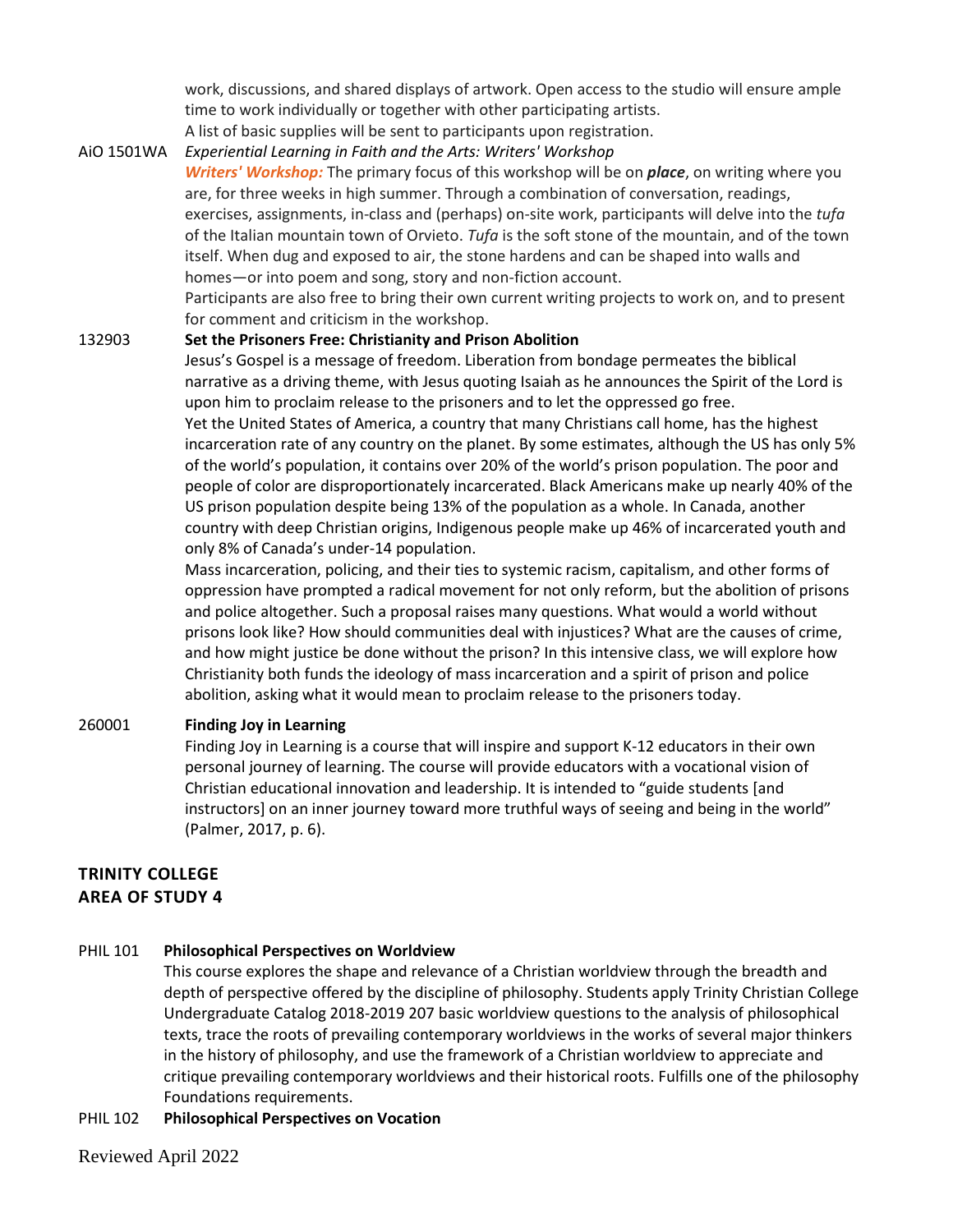work, discussions, and shared displays of artwork. Open access to the studio will ensure ample time to work individually or together with other participating artists.

A list of basic supplies will be sent to participants upon registration.

AiO 1501WA *Experiential Learning in Faith and the Arts: Writers' Workshop*

*Writers' Workshop:* The primary focus of this workshop will be on *place*, on writing where you are, for three weeks in high summer. Through a combination of conversation, readings, exercises, assignments, in-class and (perhaps) on-site work, participants will delve into the *tufa* of the Italian mountain town of Orvieto. *Tufa* is the soft stone of the mountain, and of the town itself. When dug and exposed to air, the stone hardens and can be shaped into walls and homes—or into poem and song, story and non-fiction account.

Participants are also free to bring their own current writing projects to work on, and to present for comment and criticism in the workshop.

### 132903 **Set the Prisoners Free: Christianity and Prison Abolition**

Jesus's Gospel is a message of freedom. Liberation from bondage permeates the biblical narrative as a driving theme, with Jesus quoting Isaiah as he announces the Spirit of the Lord is upon him to proclaim release to the prisoners and to let the oppressed go free. Yet the United States of America, a country that many Christians call home, has the highest incarceration rate of any country on the planet. By some estimates, although the US has only 5% of the world's population, it contains over 20% of the world's prison population. The poor and people of color are disproportionately incarcerated. Black Americans make up nearly 40% of the US prison population despite being 13% of the population as a whole. In Canada, another

country with deep Christian origins, Indigenous people make up 46% of incarcerated youth and only 8% of Canada's under-14 population.

Mass incarceration, policing, and their ties to systemic racism, capitalism, and other forms of oppression have prompted a radical movement for not only reform, but the abolition of prisons and police altogether. Such a proposal raises many questions. What would a world without prisons look like? How should communities deal with injustices? What are the causes of crime, and how might justice be done without the prison? In this intensive class, we will explore how Christianity both funds the ideology of mass incarceration and a spirit of prison and police abolition, asking what it would mean to proclaim release to the prisoners today.

## 260001 **Finding Joy in Learning**

Finding Joy in Learning is a course that will inspire and support K-12 educators in their own personal journey of learning. The course will provide educators with a vocational vision of Christian educational innovation and leadership. It is intended to "guide students [and instructors] on an inner journey toward more truthful ways of seeing and being in the world" (Palmer, 2017, p. 6).

# **TRINITY COLLEGE AREA OF STUDY 4**

## PHIL 101 **Philosophical Perspectives on Worldview**

This course explores the shape and relevance of a Christian worldview through the breadth and depth of perspective offered by the discipline of philosophy. Students apply Trinity Christian College Undergraduate Catalog 2018-2019 207 basic worldview questions to the analysis of philosophical texts, trace the roots of prevailing contemporary worldviews in the works of several major thinkers in the history of philosophy, and use the framework of a Christian worldview to appreciate and critique prevailing contemporary worldviews and their historical roots. Fulfills one of the philosophy Foundations requirements.

## PHIL 102 **Philosophical Perspectives on Vocation**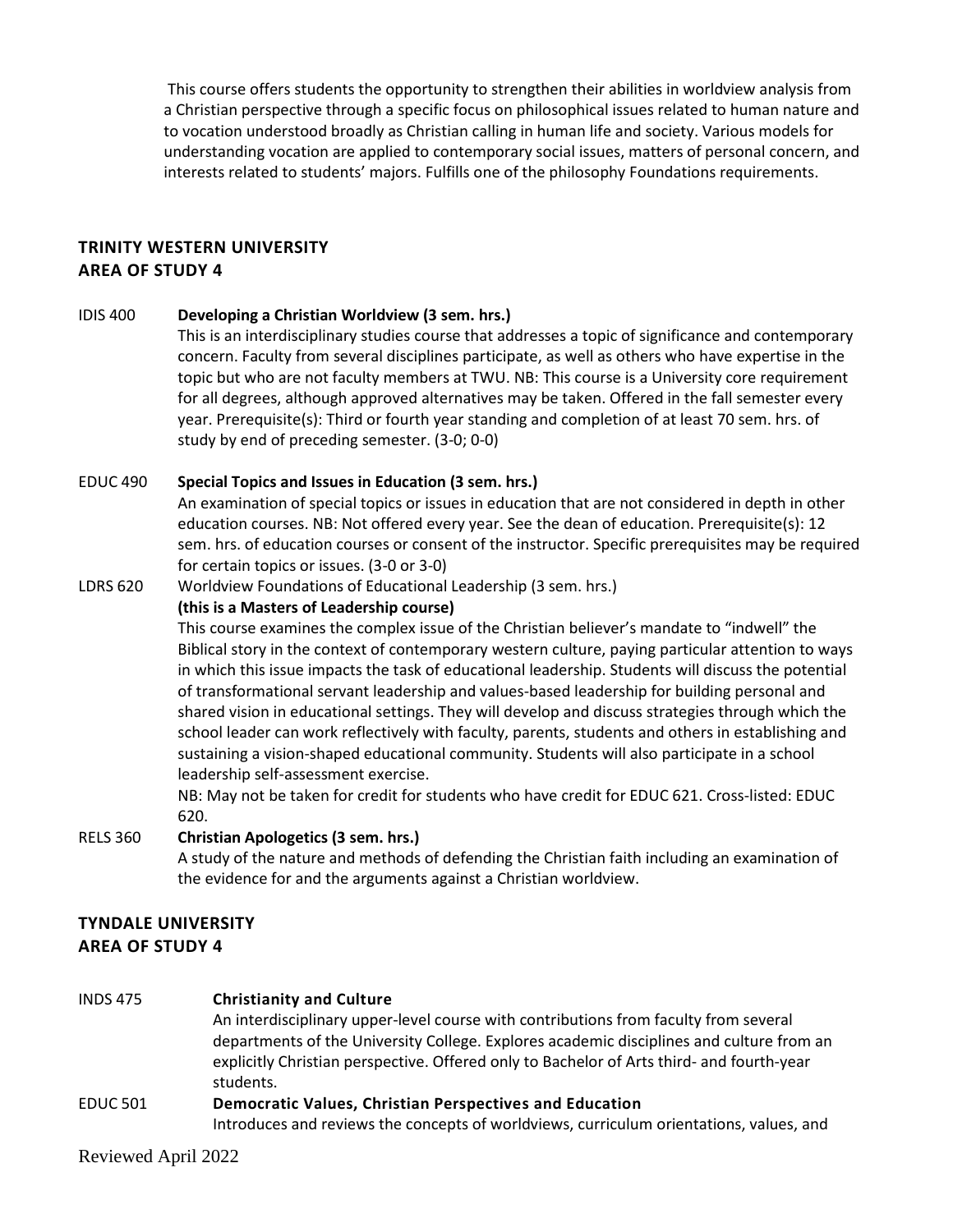This course offers students the opportunity to strengthen their abilities in worldview analysis from a Christian perspective through a specific focus on philosophical issues related to human nature and to vocation understood broadly as Christian calling in human life and society. Various models for understanding vocation are applied to contemporary social issues, matters of personal concern, and interests related to students' majors. Fulfills one of the philosophy Foundations requirements.

# **TRINITY WESTERN UNIVERSITY AREA OF STUDY 4**

IDIS 400 **Developing a Christian Worldview (3 sem. hrs.)** 

This is an interdisciplinary studies course that addresses a topic of significance and contemporary concern. Faculty from several disciplines participate, as well as others who have expertise in the topic but who are not faculty members at TWU. NB: This course is a University core requirement for all degrees, although approved alternatives may be taken. Offered in the fall semester every year. Prerequisite(s): Third or fourth year standing and completion of at least 70 sem. hrs. of study by end of preceding semester. (3-0; 0-0)

### EDUC 490 **Special Topics and Issues in Education (3 sem. hrs.)**

An examination of special topics or issues in education that are not considered in depth in other education courses. NB: Not offered every year. See the dean of education. Prerequisite(s): 12 sem. hrs. of education courses or consent of the instructor. Specific prerequisites may be required for certain topics or issues. (3-0 or 3-0)

LDRS 620 Worldview Foundations of Educational Leadership (3 sem. hrs.)

## **(this is a Masters of Leadership course)**

This course examines the complex issue of the Christian believer's mandate to "indwell" the Biblical story in the context of contemporary western culture, paying particular attention to ways in which this issue impacts the task of educational leadership. Students will discuss the potential of transformational servant leadership and values-based leadership for building personal and shared vision in educational settings. They will develop and discuss strategies through which the school leader can work reflectively with faculty, parents, students and others in establishing and sustaining a vision-shaped educational community. Students will also participate in a school leadership self-assessment exercise.

NB: May not be taken for credit for students who have credit for EDUC 621. Cross-listed: EDUC 620.

RELS 360 **Christian Apologetics (3 sem. hrs.)** A study of the nature and methods of defending the Christian faith including an examination of the evidence for and the arguments against a Christian worldview.

# **TYNDALE UNIVERSITY AREA OF STUDY 4**

## INDS 475 **Christianity and Culture** An interdisciplinary upper-level course with contributions from faculty from several departments of the University College. Explores academic disciplines and culture from an explicitly Christian perspective. Offered only to Bachelor of Arts third- and fourth-year students. EDUC 501 **Democratic Values, Christian Perspectives and Education** Introduces and reviews the concepts of worldviews, curriculum orientations, values, and

Reviewed April 2022